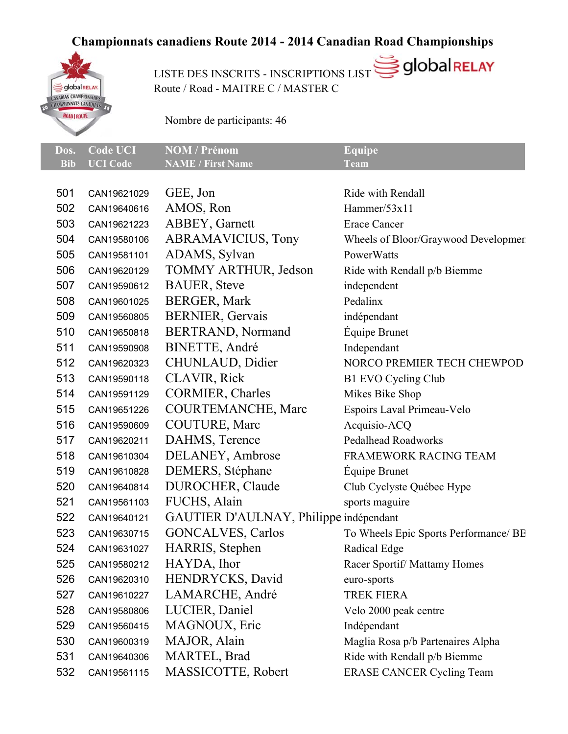## **Championnats canadiens Route 2014 - 2014 Canadian Road Championships**



USTE DES INSCRITS - INSCRIPTIONS LIST SOULARELAY Route / Road - MAITRE C / MASTER C

Nombre de participants: 46

|              | Dos. Code UCI NOM / Prénom | Equipe      |
|--------------|----------------------------|-------------|
| Bib UCI Code | <b>NAME</b> / First Name   | <b>Team</b> |

| 501 | CAN19621029 | GEE, Jon                               | Ride with Rendall                     |
|-----|-------------|----------------------------------------|---------------------------------------|
| 502 | CAN19640616 | AMOS, Ron                              | Hammer/53x11                          |
| 503 | CAN19621223 | <b>ABBEY, Garnett</b>                  | <b>Erace Cancer</b>                   |
| 504 | CAN19580106 | <b>ABRAMAVICIUS, Tony</b>              | Wheels of Bloor/Graywood Developmen   |
| 505 | CAN19581101 | ADAMS, Sylvan                          | PowerWatts                            |
| 506 | CAN19620129 | <b>TOMMY ARTHUR, Jedson</b>            | Ride with Rendall p/b Biemme          |
| 507 | CAN19590612 | <b>BAUER, Steve</b>                    | independent                           |
| 508 | CAN19601025 | <b>BERGER, Mark</b>                    | Pedalinx                              |
| 509 | CAN19560805 | <b>BERNIER, Gervais</b>                | indépendant                           |
| 510 | CAN19650818 | <b>BERTRAND, Normand</b>               | Équipe Brunet                         |
| 511 | CAN19590908 | <b>BINETTE, André</b>                  | Independant                           |
| 512 | CAN19620323 | CHUNLAUD, Didier                       | NORCO PREMIER TECH CHEWPOD            |
| 513 | CAN19590118 | <b>CLAVIR, Rick</b>                    | <b>B1 EVO Cycling Club</b>            |
| 514 | CAN19591129 | CORMIER, Charles                       | Mikes Bike Shop                       |
| 515 | CAN19651226 | <b>COURTEMANCHE, Marc</b>              | Espoirs Laval Primeau-Velo            |
| 516 | CAN19590609 | COUTURE, Marc                          | Acquisio-ACQ                          |
| 517 | CAN19620211 | DAHMS, Terence                         | <b>Pedalhead Roadworks</b>            |
| 518 | CAN19610304 | DELANEY, Ambrose                       | <b>FRAMEWORK RACING TEAM</b>          |
| 519 | CAN19610828 | DEMERS, Stéphane                       | Équipe Brunet                         |
| 520 | CAN19640814 | DUROCHER, Claude                       | Club Cyclyste Québec Hype             |
| 521 | CAN19561103 | FUCHS, Alain                           | sports maguire                        |
| 522 | CAN19640121 | GAUTIER D'AULNAY, Philippe indépendant |                                       |
| 523 | CAN19630715 | <b>GONCALVES, Carlos</b>               | To Wheels Epic Sports Performance/ BB |
| 524 | CAN19631027 | HARRIS, Stephen                        | Radical Edge                          |
| 525 | CAN19580212 | HAYDA, Ihor                            | Racer Sportif/Mattamy Homes           |
| 526 | CAN19620310 | HENDRYCKS, David                       | euro-sports                           |
| 527 | CAN19610227 | LAMARCHE, André                        | TREK FIERA                            |
| 528 | CAN19580806 | LUCIER, Daniel                         | Velo 2000 peak centre                 |
| 529 | CAN19560415 | MAGNOUX, Eric                          | Indépendant                           |
| 530 | CAN19600319 | MAJOR, Alain                           | Maglia Rosa p/b Partenaires Alpha     |
| 531 | CAN19640306 | MARTEL, Brad                           | Ride with Rendall p/b Biemme          |
| 532 | CAN19561115 | MASSICOTTE, Robert                     | <b>ERASE CANCER Cycling Team</b>      |
|     |             |                                        |                                       |